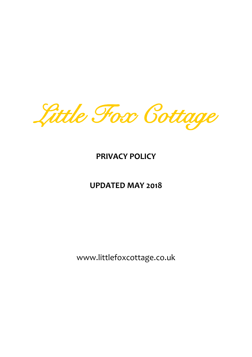Little Fox Cottage

# **PRIVACY POLICY**

# **UPDATED MAY 2018**

www.littlefoxcottage.co.uk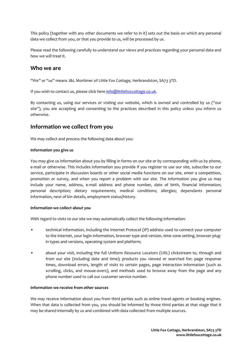This policy (together with any other documents we refer to in it) sets out the basis on which any personal data we collect from you, or that you provide to us, will be processed by us.

Please read the following carefully to understand our views and practices regarding your personal data and how we will treat it.

## **Who we are**

"We" or "us" means J&L Mortimer of Little Fox Cottage, Herbrandston, SA73 3TD.

If you wish to contact us, please click here [info@littlefoxcottage.co.uk.](mailto:info@littlefoxcottage.co.uk)

By contacting us, using our services or visiting our website, which is owned and controlled by us ("our site"), you are accepting and consenting to the practices described in this policy unless you inform us otherwise.

### **Information we collect from you**

We may collect and process the following data about you:

#### **Information you give us**

You may give us information about you by filling in forms on our site or by corresponding with us by phone, e-mail or otherwise. This includes information you provide if you register to use our site, subscribe to our service, participate in discussion boards or other social media functions on our site, enter a competition, promotion or survey, and when you report a problem with our site. The information you give us may include your name, address, e-mail address and phone number, date of birth, financial information; personal description; dietary requirements; medical conditions; allergies; dependants personal information, next of kin details, employment status/history.

#### **Information we collect about you**

With regard to visits to our site we may automatically collect the following information:

- technical information, including the Internet Protocol (IP) address used to connect your computer to the Internet, your login information, browser type and version, time zone setting, browser plugin types and versions, operating system and platform;
- about your visit, including the full Uniform Resource Locators (URL) clickstream to, through and from our site (including date and time); products you viewed or searched for; page response times, download errors, length of visits to certain pages, page interaction information (such as scrolling, clicks, and mouse-overs), and methods used to browse away from the page and any phone number used to call our customer service number.

#### **Information we receive from other sources**

We may receive information about you from third parties such as online travel agents or booking engines. When that data is collected from you, you should be informed by those third parties at that stage that it may be shared internally by us and combined with data collected from multiple sources.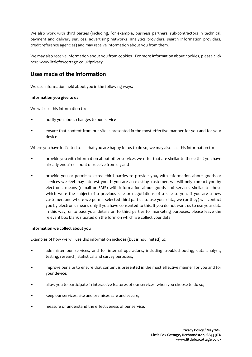We also work with third parties (including, for example, business partners, sub-contractors in technical, payment and delivery services, advertising networks, analytics providers, search information providers, credit reference agencies) and may receive information about you from them.

We may also receive information about you from cookies. For more information about cookies, please click here www.littlefoxcottage.co.uk/privacy

# **Uses made of the information**

We use information held about you in the following ways:

#### **Information you give to us**

We will use this information to:

- notify you about changes to our service
- ensure that content from our site is presented in the most effective manner for you and for your device

Where you have indicated to us that you are happy for us to do so, we may also use this information to:

- provide you with information about other services we offer that are similar to those that you have already enquired about or receive from us; and
- provide you or permit selected third parties to provide you, with information about goods or services we feel may interest you. If you are an existing customer, we will only contact you by electronic means (e-mail or SMS) with information about goods and services similar to those which were the subject of a previous sale or negotiations of a sale to you. If you are a new customer, and where we permit selected third parties to use your data, we (or they) will contact you by electronic means only if you have consented to this. If you do not want us to use your data in this way, or to pass your details on to third parties for marketing purposes, please leave the relevant box blank situated on the form on which we collect your data.

#### **Information we collect about you**

Examples of how we will use this information includes (but is not limited) to;

- administer our services, and for internal operations, including troubleshooting, data analysis, testing, research, statistical and survey purposes;
- improve our site to ensure that content is presented in the most effective manner for you and for your device;
- allow you to participate in interactive features of our services, when you choose to do so;
- keep our services, site and premises safe and secure;
- measure or understand the effectiveness of our service.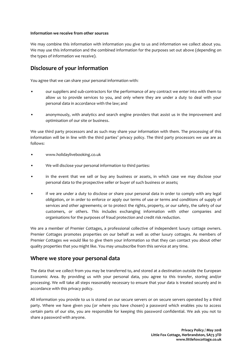#### **Information we receive from other sources**

We may combine this information with information you give to us and information we collect about you. We may use this information and the combined information for the purposes set out above (depending on the types of information we receive).

# **Disclosure of your information**

You agree that we can share your personal information with:

- our suppliers and sub-contractors for the performance of any contract we enter into with them to allow us to provide services to you, and only where they are under a duty to deal with your personal data in accordance with the law; and
- anonymously, with analytics and search engine providers that assist us in the improvement and optimisation of our site or business.

We use third party processors and as such may share your information with them. The processing of this information will be in line with the third parties' privacy policy. The third party processors we use are as follows:

- www.holidaylivebooking.co.uk
- We will disclose your personal information to third parties:
- in the event that we sell or buy any business or assets, in which case we may disclose your personal data to the prospective seller or buyer of such business or assets;
- if we are under a duty to disclose or share your personal data in order to comply with any legal obligation, or in order to enforce or apply our terms of use or terms and conditions of supply of services and other agreements; or to protect the rights, property, or our safety, the safety of our customers, or others. This includes exchanging information with other companies and organisations for the purposes of fraud protection and credit risk reduction.

We are a member of Premier Cottages, a professional collective of independent luxury cottage owners. Premier Cottages promotes properties on our behalf as well as other luxury cottages. As members of Premier Cottages we would like to give them your information so that they can contact you about other quality properties that you might like. You may unsubscribe from this service at any time.

### **Where we store your personal data**

The data that we collect from you may be transferred to, and stored at a destination outside the European Economic Area. By providing us with your personal data, you agree to this transfer, storing and/or processing. We will take all steps reasonably necessary to ensure that your data is treated securely and in accordance with this privacy policy.

All information you provide to us is stored on our secure servers or on secure servers operated by a third party. Where we have given you (or where you have chosen) a password which enables you to access certain parts of our site, you are responsible for keeping this password confidential. We ask you not to share a password with anyone.